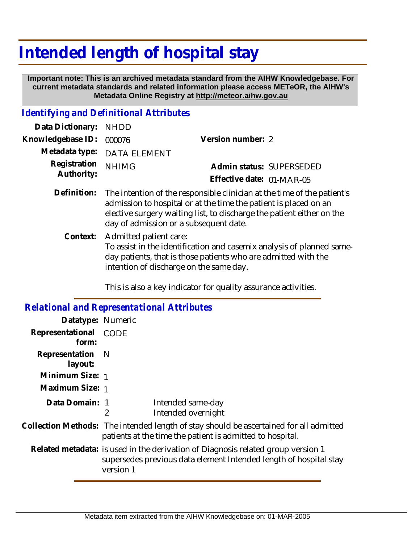## **Intended length of hospital stay**

 **Important note: This is an archived metadata standard from the AIHW Knowledgebase. For current metadata standards and related information please access METeOR, the AIHW's Metadata Online Registry at http://meteor.aihw.gov.au**

## *Identifying and Definitional Attributes*

| Data Dictionary: NHDD      |                                                                                                                                                         |                           |                          |
|----------------------------|---------------------------------------------------------------------------------------------------------------------------------------------------------|---------------------------|--------------------------|
| Knowledgebase ID: 000076   |                                                                                                                                                         | Version number: 2         |                          |
|                            | Metadata type: DATA ELEMENT                                                                                                                             |                           |                          |
| Registration<br>Authority: | <b>NHIMG</b>                                                                                                                                            |                           | Admin status: SUPERSEDED |
|                            |                                                                                                                                                         | Effective date: 01-MAR-05 |                          |
|                            | Definition: The intention of the responsible clinician at the time of the patient's<br>admission to hospital or at the time the patient is placed on an |                           |                          |

day of admission or a subsequent date. Context: Admitted patient care: To assist in the identification and casemix analysis of planned sameday patients, that is those patients who are admitted with the intention of discharge on the same day.

elective surgery waiting list, to discharge the patient either on the

This is also a key indicator for quality assurance activities.

| <b>Relational and Representational Attributes</b> |                                                                                                                                                                    |                                         |
|---------------------------------------------------|--------------------------------------------------------------------------------------------------------------------------------------------------------------------|-----------------------------------------|
| Datatype: Numeric                                 |                                                                                                                                                                    |                                         |
| Representational<br>form:                         | CODE                                                                                                                                                               |                                         |
| Representation<br>layout:                         | - N                                                                                                                                                                |                                         |
| Minimum Size: 1                                   |                                                                                                                                                                    |                                         |
| Maximum Size: 1                                   |                                                                                                                                                                    |                                         |
| Data Domain: 1                                    | 2                                                                                                                                                                  | Intended same-day<br>Intended overnight |
|                                                   | Collection Methods: The intended length of stay should be ascertained for all admitted<br>patients at the time the patient is admitted to hospital.                |                                         |
|                                                   | Related metadata: is used in the derivation of Diagnosis related group version 1<br>supersedes previous data element Intended length of hospital stay<br>version 1 |                                         |